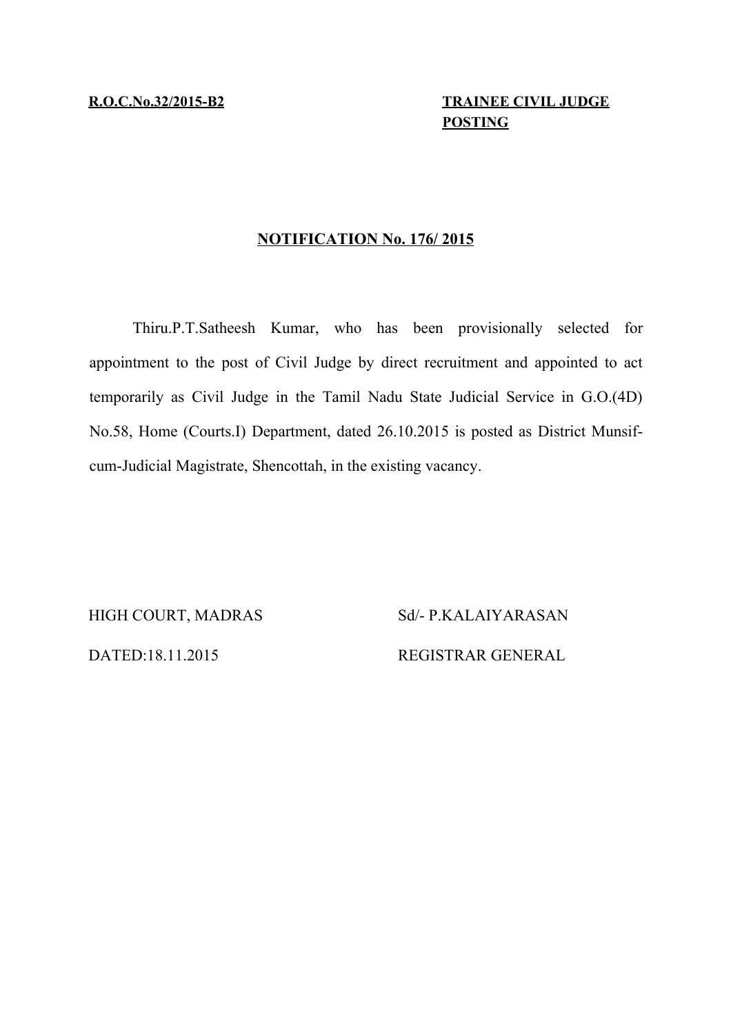## **R.O.C.No.32/2015-B2 TRAINEE CIVIL JUDGE POSTING**

### **NOTIFICATION No. 176/ 2015**

Thiru.P.T.Satheesh Kumar, who has been provisionally selected for appointment to the post of Civil Judge by direct recruitment and appointed to act temporarily as Civil Judge in the Tamil Nadu State Judicial Service in G.O.(4D) No.58, Home (Courts.I) Department, dated 26.10.2015 is posted as District Munsifcum-Judicial Magistrate, Shencottah, in the existing vacancy.

HIGH COURT, MADRAS Sd/- P.KALAIYARASAN

DATED:18.11.2015 REGISTRAR GENERAL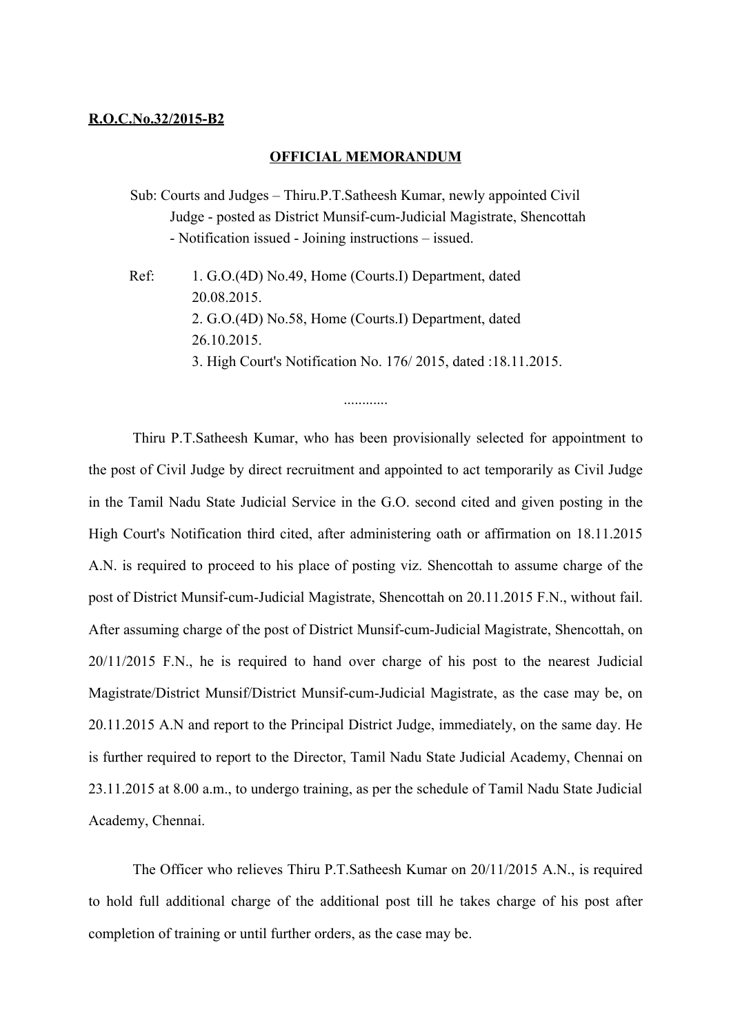#### **R.O.C.No.32/2015-B2**

#### **OFFICIAL MEMORANDUM**

- Sub: Courts and Judges Thiru.P.T.Satheesh Kumar, newly appointed Civil Judge - posted as District Munsif-cum-Judicial Magistrate, Shencottah - Notification issued - Joining instructions – issued.
- Ref: 1. G.O.(4D) No.49, Home (Courts.I) Department, dated 20.08.2015. 2. G.O.(4D) No.58, Home (Courts.I) Department, dated 26.10.2015. 3. High Court's Notification No. 176/ 2015, dated :18.11.2015.

Thiru P.T.Satheesh Kumar, who has been provisionally selected for appointment to the post of Civil Judge by direct recruitment and appointed to act temporarily as Civil Judge in the Tamil Nadu State Judicial Service in the G.O. second cited and given posting in the High Court's Notification third cited, after administering oath or affirmation on 18.11.2015 A.N. is required to proceed to his place of posting viz. Shencottah to assume charge of the post of District Munsif-cum-Judicial Magistrate, Shencottah on 20.11.2015 F.N., without fail. After assuming charge of the post of District Munsif-cum-Judicial Magistrate, Shencottah, on 20/11/2015 F.N., he is required to hand over charge of his post to the nearest Judicial Magistrate/District Munsif/District Munsif-cum-Judicial Magistrate, as the case may be, on 20.11.2015 A.N and report to the Principal District Judge, immediately, on the same day. He is further required to report to the Director, Tamil Nadu State Judicial Academy, Chennai on 23.11.2015 at 8.00 a.m., to undergo training, as per the schedule of Tamil Nadu State Judicial Academy, Chennai.

The Officer who relieves Thiru P.T.Satheesh Kumar on 20/11/2015 A.N., is required to hold full additional charge of the additional post till he takes charge of his post after completion of training or until further orders, as the case may be.